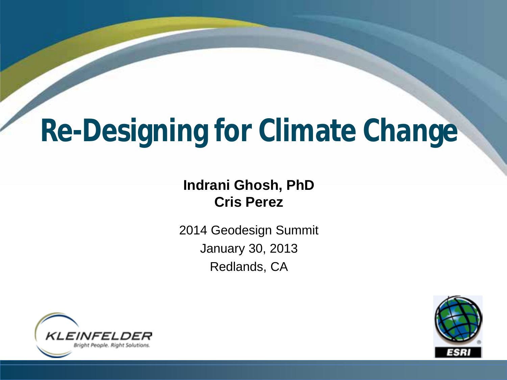# **Re-Designing for Climate Change**

### **Indrani Ghosh, PhD Cris Perez**

2014 Geodesign Summit January 30, 2013 Redlands, CA



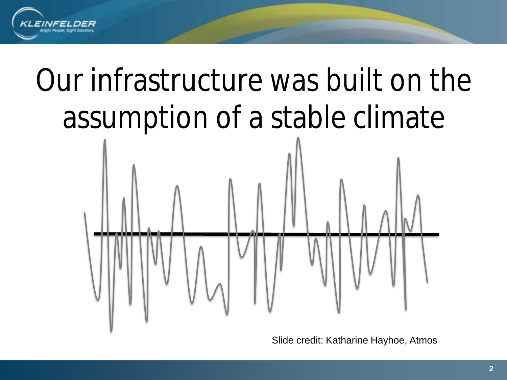

# Our infrastructure was built on the assumption of a stable climate



Slide credit: Katharine Hayhoe, Atmos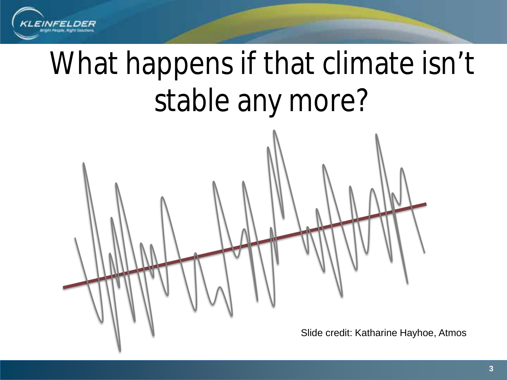

# What happens if that climate isn't stable any more?

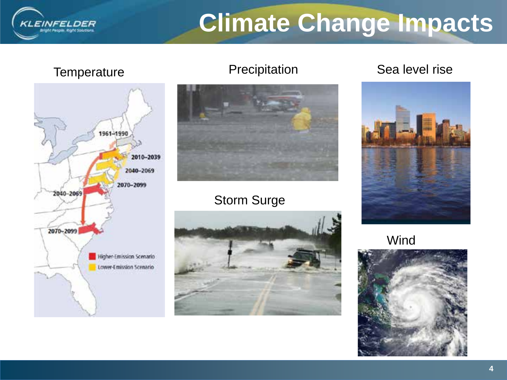## **Climate Change Impacts**

KLEINFELDER Ight People, Right Solutions



### Storm Surge



### Temperature Precipitation Sea level rise



**Wind** 

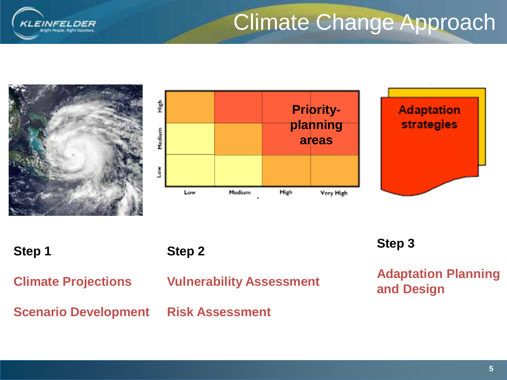

### Climate Change Approach

![](_page_4_Figure_2.jpeg)

![](_page_4_Figure_3.jpeg)

![](_page_4_Picture_4.jpeg)

**Step 1**

![](_page_4_Figure_6.jpeg)

**Climate Projections**

**Vulnerability Assessment**

### **Scenario Development Risk Assessment**

**Step 3**

**Adaptation Planning and Design**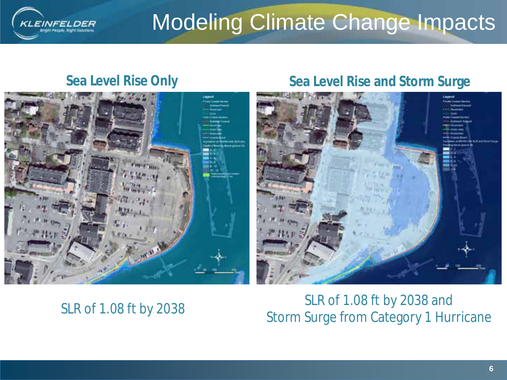![](_page_5_Picture_0.jpeg)

### Modeling Climate Change Impacts

![](_page_5_Picture_3.jpeg)

### **Sea Level Rise Only Sea Level Rise and Storm Surge**

![](_page_5_Picture_5.jpeg)

### SLR of 1.08 ft by 2038

SLR of 1.08 ft by 2038 and Storm Surge from Category 1 Hurricane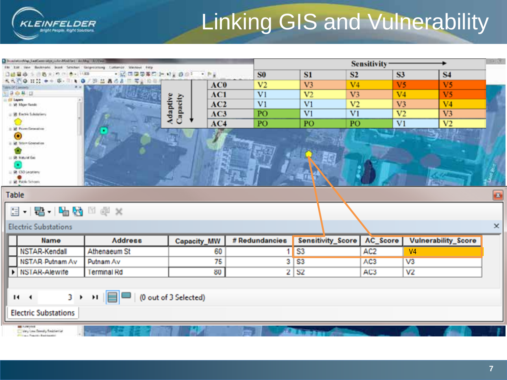## **Linking GIS and Vulnerability**

| 3 Bookstanding Last Leer when sales Modified / And the CAST was<br>Dr. The<br><b>SERVICE</b> |                                       | Sensitivity <sup>-</sup>    |                |                |                          |                 |                            |  |
|----------------------------------------------------------------------------------------------|---------------------------------------|-----------------------------|----------------|----------------|--------------------------|-----------------|----------------------------|--|
| #9 (9) 25 - 11.830<br>表示                                                                     | Geoprocessing Customize Waldows Field | $-1$                        | S <sub>0</sub> | S1             | S <sub>2</sub>           | S3              | <b>S4</b>                  |  |
| 我我们身 日22 中午 医- 可 1 日 身才 即 品 品 改造 图 同意设备                                                      |                                       | AC0                         | V <sub>2</sub> | V <sub>3</sub> | V <sub>4</sub>           | V <sub>5</sub>  | V <sub>5</sub>             |  |
| <b>Jane Of Concort</b><br>自白星江                                                               |                                       | AC1                         | V1             | V <sub>2</sub> | V <sub>3</sub>           | V <sub>4</sub>  | V <sub>5</sub>             |  |
| II OF Layers<br>ii 58 Major Rondo                                                            |                                       | Adaptive<br>Capacity<br>AC2 | V <sub>1</sub> | V <sub>1</sub> | V <sub>2</sub>           | V <sub>3</sub>  | V <sub>4</sub>             |  |
|                                                                                              |                                       | AC3                         | PO             | V1             | V <sub>1</sub>           | V <sub>2</sub>  | V <sub>3</sub>             |  |
| - 25 Eachs Scholatory                                                                        |                                       |                             |                |                |                          |                 |                            |  |
| 1 2 Port Groundine                                                                           |                                       | AC4                         | PO             | PO             | PO                       | V <sub>1</sub>  | V <sub>2</sub>             |  |
| $\bullet$                                                                                    |                                       |                             |                |                |                          |                 |                            |  |
| 2 St Stevm Governmen                                                                         |                                       |                             |                |                |                          |                 |                            |  |
| <b>B. Haute Gu</b>                                                                           |                                       |                             |                |                |                          |                 |                            |  |
| ٠                                                                                            |                                       |                             |                |                |                          |                 |                            |  |
| R CSO Legitiano                                                                              |                                       |                             |                |                |                          |                 |                            |  |
| E M Pable Schools                                                                            |                                       |                             |                |                |                          |                 |                            |  |
| <b>Table</b><br>$\mathbf{E}$                                                                 |                                       |                             |                |                |                          |                 |                            |  |
|                                                                                              |                                       |                             |                |                |                          |                 |                            |  |
| 国·图·国内因率×                                                                                    |                                       |                             |                |                |                          |                 |                            |  |
| <b>Electric Substations</b>                                                                  |                                       |                             |                |                |                          |                 | ×                          |  |
| Name                                                                                         | <b>Address</b>                        | <b>Capacity_MW</b>          | # Redundancies |                | <b>Sensitivity_Score</b> | AC_Score        | <b>Vulnerability_Score</b> |  |
| NSTAR-Kendall                                                                                | Athenaeum St                          | 60                          | 1.             | S <sub>3</sub> |                          | AC <sub>2</sub> | V <sub>4</sub>             |  |
| NSTAR-Putnam Av                                                                              | Putnam Av                             | 75                          | 3              | S <sub>3</sub> |                          | AC3             | V3                         |  |
| NSTAR-Alewife                                                                                | <b>Terminal Rd</b>                    | 80                          | $\mathbf{2}$   | <b>S2</b>      |                          | AC3             | V2                         |  |
|                                                                                              |                                       |                             |                |                |                          |                 |                            |  |
|                                                                                              |                                       |                             |                |                |                          |                 |                            |  |
| 3 ▶ り 冒<br>(0 out of 3 Selected)<br>11 <sup>4</sup>                                          |                                       |                             |                |                |                          |                 |                            |  |
| <b>Electric Substations</b>                                                                  |                                       |                             |                |                |                          |                 |                            |  |
| Very Loss Devuily Residential<br><b>Chicago President Bankroomed</b>                         |                                       |                             |                |                |                          |                 |                            |  |

**EINFELDER** Ight People, Right Solutions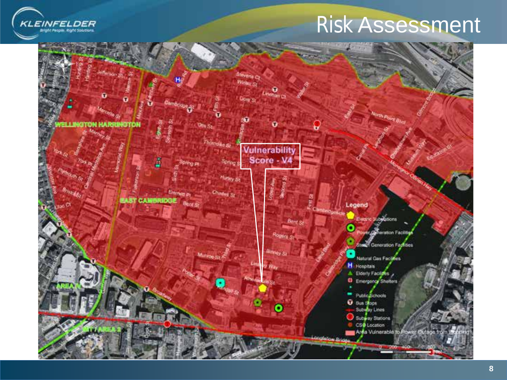![](_page_7_Picture_0.jpeg)

### Risk Assessment

![](_page_7_Picture_2.jpeg)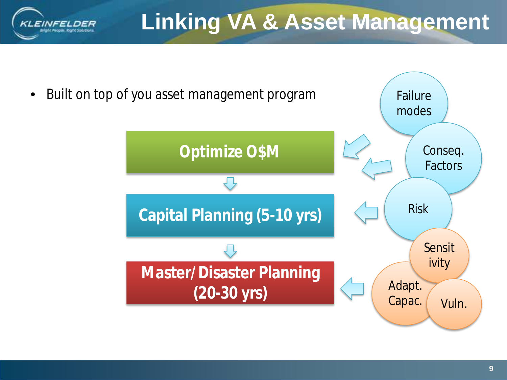![](_page_8_Picture_0.jpeg)

![](_page_8_Figure_2.jpeg)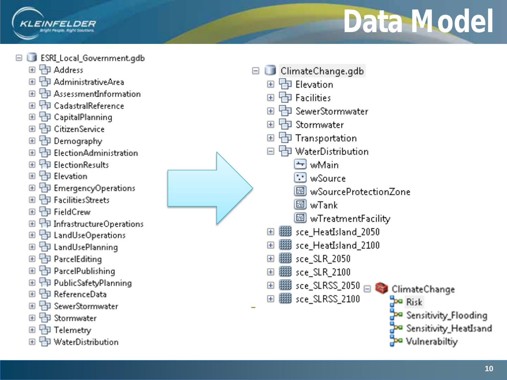![](_page_9_Picture_0.jpeg)

ESRI Local Government.gdb

中 Address  $\left| + \right|$ 

**INFFI** 

- **中 AdministrativeArea**
- **PD** AssessmentInformation
- **中 CadastralReference**
- **中 CapitalPlanning**
- **中 CitizenService**
- PD Demography
- **中 ElectionAdministration**
- **中 ElectionResults**
- **中 Elevation**
- **h** Emergency Operations
- Facilities Streets
- 中 FieldCrew
- 田 中 Infrastructure Operations
- 田 中 LandUseOperations
- **中 LandUsePlanning**
- **中**ParcelEditing
- 田 中 ParcelPublishing
- 田 中 PublicSafetyPlanning
- ReferenceData  $\left| \frac{1}{2} \right|$
- **中 SewerStormwater**
- **中 Stormwater**
- 田 中 Telemetry
- **中 WaterDistribution**

![](_page_9_Figure_26.jpeg)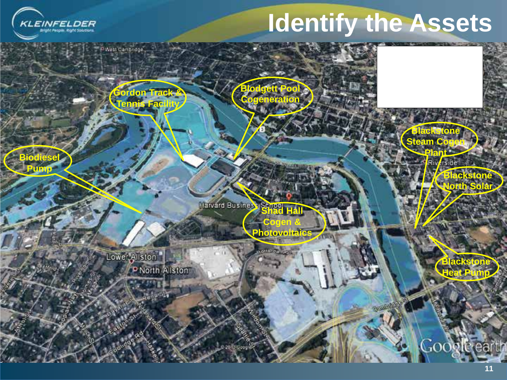![](_page_10_Picture_0.jpeg)

**Pump**

## **Identify the Assets**

**Gordon Track & Tennis Facility**

**Harvard Business Senger** 

**Cogen & Photovoltaics**

**Blodgett Pool Cogeneration**

**Plant Biodiesel and Contract of the Second Second Second Second Second Second Second Second Second Second Second Second Second Second Second Second Second Second Second Second Second Second Second Second Second Second S** 

 Lower Allston P North Allston

**Blackstone Heat Pump**

**Blackstone North Solar**

**Blackstone Steam Cogen**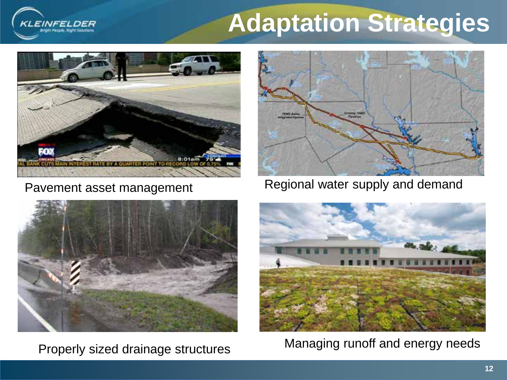## **Adaptation Strategies**

![](_page_11_Picture_1.jpeg)

**INFF** 

![](_page_11_Picture_3.jpeg)

Pavement asset management Regional water supply and demand

![](_page_11_Picture_5.jpeg)

![](_page_11_Picture_7.jpeg)

Managing runoff and energy needs Properly sized drainage structures